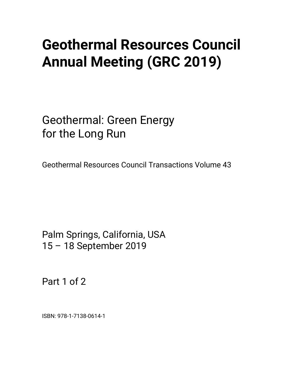# **Geothermal Resources Council Annual Meeting (GRC 2019)**

Geothermal: Green Energy for the Long Run

Geothermal Resources Council Transactions Volume 43

Palm Springs, California, USA 15 – 18 September 2019

Part 1 of 2

ISBN: 978-1-7138-0614-1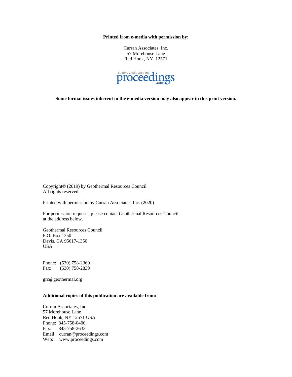**Printed from e-media with permission by:** 

Curran Associates, Inc. 57 Morehouse Lane Red Hook, NY 12571



**Some format issues inherent in the e-media version may also appear in this print version.** 

Copyright© (2019) by Geothermal Resources Council All rights reserved.

Printed with permission by Curran Associates, Inc. (2020)

For permission requests, please contact Geothermal Resources Council at the address below.

Geothermal Resources Council P.O. Box 1350 Davis, CA 95617-1350 USA

Phone: (530) 758-2360 Fax: (530) 758-2839

grc@geothermal.org

#### **Additional copies of this publication are available from:**

Curran Associates, Inc. 57 Morehouse Lane Red Hook, NY 12571 USA Phone: 845-758-0400 Fax: 845-758-2633 Email: curran@proceedings.com Web: www.proceedings.com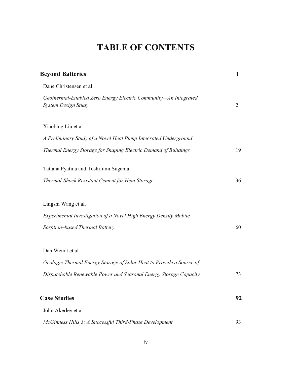## **TABLE OF CONTENTS**

| <b>Beyond Batteries</b>                                                                                                                                       | 1              |
|---------------------------------------------------------------------------------------------------------------------------------------------------------------|----------------|
| Dane Christensen et al.                                                                                                                                       |                |
| Geothermal-Enabled Zero Energy Electric Community-An Integrated<br>System Design Study                                                                        | $\overline{2}$ |
| Xiaobing Liu et al.                                                                                                                                           |                |
| A Preliminary Study of a Novel Heat Pump Integrated Underground                                                                                               |                |
| Thermal Energy Storage for Shaping Electric Demand of Buildings                                                                                               | 19             |
| Tatiana Pyatina and Toshifumi Sugama                                                                                                                          |                |
| Thermal-Shock Resistant Cement for Heat Storage                                                                                                               | 36             |
| Lingshi Wang et al.<br>Experimental Investigation of a Novel High Energy Density Mobile<br>Sorption-based Thermal Battery                                     | 60             |
| Dan Wendt et al.<br>Geologic Thermal Energy Storage of Solar Heat to Provide a Source of<br>Dispatchable Renewable Power and Seasonal Energy Storage Capacity | 73             |
| <b>Case Studies</b>                                                                                                                                           | 92             |
| John Akerley et al.                                                                                                                                           |                |
| McGinness Hills 3: A Successful Third-Phase Development                                                                                                       | 93             |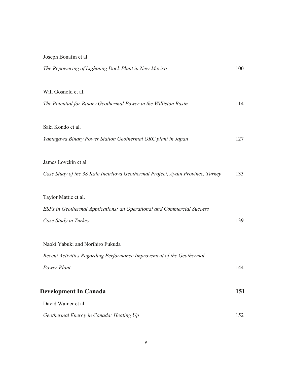| Joseph Bonafin et al                                                            |     |
|---------------------------------------------------------------------------------|-----|
| The Repowering of Lightning Dock Plant in New Mexico                            | 100 |
|                                                                                 |     |
| Will Gosnold et al.                                                             |     |
| The Potential for Binary Geothermal Power in the Williston Basin                | 114 |
|                                                                                 |     |
| Saki Kondo et al.                                                               |     |
| Yamagawa Binary Power Station Geothermal ORC plant in Japan                     | 127 |
|                                                                                 |     |
| James Lovekin et al.                                                            |     |
| Case Study of the 3S Kale Incirliova Geothermal Project, Aydın Province, Turkey | 133 |
|                                                                                 |     |
| Taylor Mattie et al.                                                            |     |
| ESPs in Geothermal Applications: an Operational and Commercial Success          |     |
| Case Study in Turkey                                                            | 139 |
| Naoki Yabuki and Norihiro Fukuda                                                |     |
| Recent Activities Regarding Performance Improvement of the Geothermal           |     |
| Power Plant                                                                     | 144 |
|                                                                                 |     |
| <b>Development In Canada</b>                                                    | 151 |
| David Wainer et al.                                                             |     |
| Geothermal Energy in Canada: Heating Up                                         | 152 |
|                                                                                 |     |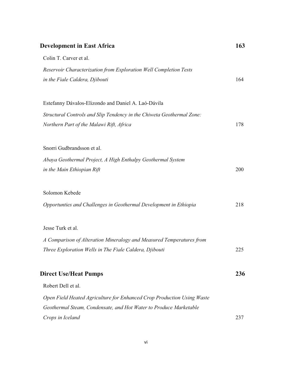| <b>Development in East Africa</b>                                      | 163 |
|------------------------------------------------------------------------|-----|
| Colin T. Carver et al.                                                 |     |
| Reservoir Characterization from Exploration Well Completion Tests      |     |
| in the Fiale Caldera, Djibouti                                         | 164 |
| Estefanny Dávalos-Elizondo and Daniel A. Laó-Dávila                    |     |
| Structural Controls and Slip Tendency in the Chiweta Geothermal Zone:  |     |
| Northern Part of the Malawi Rift, Africa                               | 178 |
| Snorri Gudbrandsson et al.                                             |     |
| Abaya Geothermal Project, A High Enthalpy Geothermal System            |     |
| in the Main Ethiopian Rift                                             | 200 |
| Solomon Kebede                                                         |     |
| Opportunties and Challenges in Geothermal Development in Ethiopia      | 218 |
| Jesse Turk et al.                                                      |     |
| A Comparison of Alteration Mineralogy and Measured Temperatures from   |     |
| Three Exploration Wells in The Fiale Caldera, Djibouti                 | 225 |
| <b>Direct Use/Heat Pumps</b>                                           | 236 |
| Robert Dell et al.                                                     |     |
| Open Field Heated Agriculture for Enhanced Crop Production Using Waste |     |
| Geothermal Steam, Condensate, and Hot Water to Produce Marketable      |     |
| Crops in Iceland                                                       | 237 |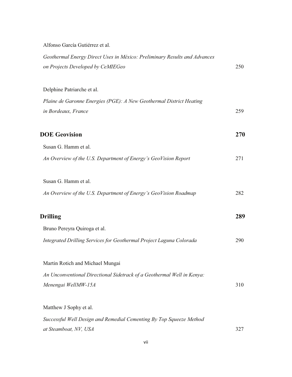Alfonso García Gutiérrez et al.

| Geothermal Energy Direct Uses in México: Preliminary Results and Advances<br>on Projects Developed by CeMIEGeo | 250 |
|----------------------------------------------------------------------------------------------------------------|-----|
| Delphine Patriarche et al.                                                                                     |     |
| Plaine de Garonne Energies (PGE): A New Geothermal District Heating                                            |     |
| in Bordeaux, France                                                                                            | 259 |
| <b>DOE Geovision</b>                                                                                           | 270 |
| Susan G. Hamm et al.                                                                                           |     |
| An Overview of the U.S. Department of Energy's GeoVision Report                                                | 271 |
| Susan G. Hamm et al.                                                                                           |     |
| An Overview of the U.S. Department of Energy's GeoVision Roadmap                                               | 282 |
| <b>Drilling</b>                                                                                                | 289 |
| Bruno Pereyra Quiroga et al.                                                                                   |     |
| Integrated Drilling Services for Geothermal Project Laguna Colorada                                            | 290 |
| Martin Rotich and Michael Mungai                                                                               |     |
| An Unconventional Directional Sidetrack of a Geothermal Well in Kenya:                                         |     |
| Menengai WellMW-15A                                                                                            | 310 |
| Matthew J Sophy et al.                                                                                         |     |
| Successful Well Design and Remedial Cementing By Top Squeeze Method                                            |     |
| at Steamboat, NV, USA                                                                                          | 327 |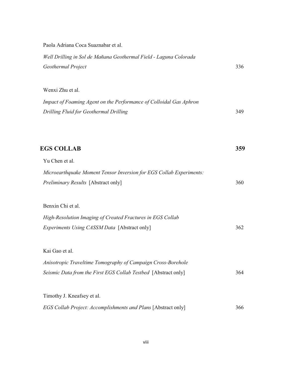| Paola Adriana Coca Suaznabar et al.                                 |     |
|---------------------------------------------------------------------|-----|
| Well Drilling in Sol de Mañana Geothermal Field - Laguna Colorada   |     |
| Geothermal Project                                                  | 336 |
|                                                                     |     |
| Wenxi Zhu et al.                                                    |     |
| Impact of Foaming Agent on the Performance of Colloidal Gas Aphron  |     |
| Drilling Fluid for Geothermal Drilling                              | 349 |
|                                                                     |     |
|                                                                     |     |
| <b>EGS COLLAB</b>                                                   | 359 |
| Yu Chen et al.                                                      |     |
| Microearthquake Moment Tensor Inversion for EGS Collab Experiments: |     |
| Preliminary Results [Abstract only]                                 | 360 |
|                                                                     |     |
| Benxin Chi et al.                                                   |     |
| High-Resolution Imaging of Created Fractures in EGS Collab          |     |
| Experiments Using CASSM Data [Abstract only]                        | 362 |
|                                                                     |     |
| Kai Gao et al.                                                      |     |
| Anisotropic Traveltime Tomography of Campaign Cross-Borehole        |     |
| Seismic Data from the First EGS Collab Testbed [Abstract only]      | 364 |
| Timothy J. Kneafsey et al.                                          |     |
|                                                                     | 366 |
| EGS Collab Project: Accomplishments and Plans [Abstract only]       |     |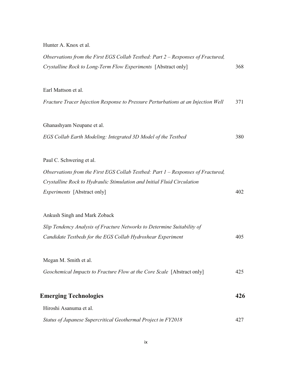Hunter A. Knox et al.

| Observations from the First EGS Collab Testbed: Part 2 – Responses of Fractured,<br>Crystalline Rock to Long-Term Flow Experiments [Abstract only]                                                                            | 368 |
|-------------------------------------------------------------------------------------------------------------------------------------------------------------------------------------------------------------------------------|-----|
| Earl Mattson et al.<br>Fracture Tracer Injection Response to Pressure Perturbations at an Injection Well                                                                                                                      | 371 |
| Ghanashyam Neupane et al.<br>EGS Collab Earth Modeling: Integrated 3D Model of the Testbed                                                                                                                                    | 380 |
| Paul C. Schwering et al.<br>Observations from the First EGS Collab Testbed: Part 1 – Responses of Fractured,<br>Crystalline Rock to Hydraulic Stimulation and Initial Fluid Circulation<br><i>Experiments</i> [Abstract only] | 402 |
| Ankush Singh and Mark Zoback<br>Slip Tendency Analysis of Fracture Networks to Determine Suitability of<br>Candidate Testbeds for the EGS Collab Hydroshear Experiment                                                        | 405 |
| Megan M. Smith et al.<br>Geochemical Impacts to Fracture Flow at the Core Scale [Abstract only]                                                                                                                               | 425 |
| <b>Emerging Technologies</b><br>Hiroshi Asanuma et al.                                                                                                                                                                        | 426 |
| Status of Japanese Supercritical Geothermal Project in FY2018                                                                                                                                                                 | 427 |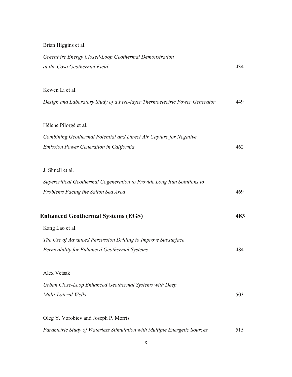*GreenFire Energy Closed-Loop Geothermal Demonstration at the Coso Geothermal Field* 434 Kewen Li et al. *Design and Laboratory Study of a Five-layer Thermoelectric Power Generator* 449 Hélène Pilorgé et al. *Combining Geothermal Potential and Direct Air Capture for Negative Emission Power Generation in California* 462 J. Shnell et al. *Supercritical Geothermal Cogeneration to Provide Long Run Solutions to Problems Facing the Salton Sea Area* 469 **Enhanced Geothermal Systems (EGS) 483** Kang Lao et al. *The Use of Advanced Percussion Drilling to Improve Subsurface Permeability for Enhanced Geothermal Systems* 484 Alex Vetsak *Urban Close-Loop Enhanced Geothermal Systems with Deep Multi-Lateral Wells* 503 Oleg Y. Vorobiev and Joseph P. Morris

Brian Higgins et al.

*Parametric Study of Waterless Stimulation with Multiple Energetic Sources* 515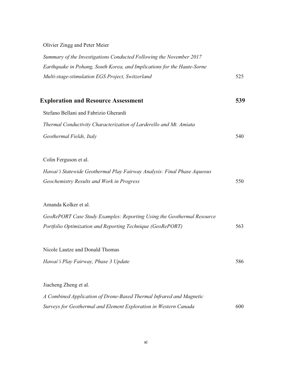### Olivier Zingg and Peter Meier

| Summary of the Investigations Conducted Following the November 2017     |     |
|-------------------------------------------------------------------------|-----|
| Earthquake in Pohang, South Korea, and Implications for the Haute-Sorne |     |
| Multi-stage-stimulation EGS Project, Switzerland                        | 525 |
| <b>Exploration and Resource Assessment</b>                              | 539 |
| Stefano Bellani and Fabrizio Gherardi                                   |     |
| Thermal Conductivity Characterization of Larderello and Mt. Amiata      |     |
| Geothermal Fields, Italy                                                | 540 |
| Colin Ferguson et al.                                                   |     |
| Hawai'i Statewide Geothermal Play Fairway Analysis: Final Phase Aqueous |     |
| Geochemistry Results and Work in Progress                               | 550 |
| Amanda Kolker et al.                                                    |     |
| GeoRePORT Case Study Examples: Reporting Using the Geothermal Resource  |     |
| Portfolio Optimization and Reporting Technique (GeoRePORT)              | 563 |
| Nicole Lautze and Donald Thomas                                         |     |
| Hawai'i Play Fairway, Phase 3 Update                                    | 586 |
| Jiacheng Zheng et al.                                                   |     |
| A Combined Application of Drone-Based Thermal Infrared and Magnetic     |     |
| Surveys for Geothermal and Element Exploration in Western Canada        | 600 |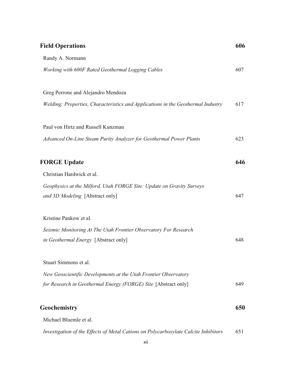| <b>Field Operations</b>                                                             | 606 |
|-------------------------------------------------------------------------------------|-----|
| Randy A. Normann                                                                    |     |
| Working with 600F Rated Geothermal Logging Cables                                   | 607 |
| Greg Perrone and Alejandro Mendoza                                                  |     |
| Welding; Properties, Characteristics and Applications in the Geothermal Industry    | 617 |
| Paul von Hirtz and Russell Kunzman                                                  |     |
| Advanced On-Line Steam Purity Analyzer for Geothermal Power Plants                  | 623 |
| <b>FORGE Update</b>                                                                 | 646 |
| Christian Hardwick et al.                                                           |     |
| Geophysics at the Milford, Utah FORGE Site: Update on Gravity Surveys               |     |
| and 3D Modeling [Abstract only]                                                     | 647 |
| Kristine Pankow et al.                                                              |     |
| Seismic Monitoring At The Utah Frontier Observatory For Research                    |     |
| <i>in Geothermal Energy</i> [Abstract only]                                         | 648 |
| Stuart Simmons et al.                                                               |     |
| New Geoscientific Developments at the Utah Frontier Observatory                     |     |
| for Research in Geothermal Energy (FORGE) Site [Abstract only]                      | 649 |
| Geochemistry                                                                        | 650 |
| Michael Bluemle et al.                                                              |     |
| Investigation of the Effects of Metal Cations on Polycarboxylate Calcite Inhibitors | 651 |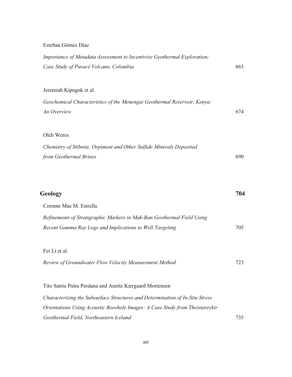### Esteban Gómez Díaz

| Importance of Metadata Assessment to Incentivize Geothermal Exploration;<br>Case Study of Puracé Volcano, Colombia | 663 |
|--------------------------------------------------------------------------------------------------------------------|-----|
|                                                                                                                    |     |
| Jeremiah Kipngok et al.                                                                                            |     |
| Geochemical Characteristics of the Menengai Geothermal Reservoir, Kenya:                                           |     |
| An Overview                                                                                                        | 674 |
| Oleh Weres                                                                                                         |     |
| Chemistry of Stibnite, Orpiment and Other Sulfide Minerals Deposited                                               |     |
| from Geothermal Brines                                                                                             | 690 |
|                                                                                                                    |     |
|                                                                                                                    | 704 |
| Geology                                                                                                            |     |
| Corinne Mae M. Estrella                                                                                            |     |
| Refinements of Stratigraphic Markers in Mak-Ban Geothermal Field Using                                             |     |
| Recent Gamma Ray Logs and Implications to Well Targeting                                                           | 705 |
| Fei Li et al.                                                                                                      |     |
| Review of Groundwater Flow Velocity Measurement Method                                                             | 723 |
|                                                                                                                    |     |
| Tito Satria Putra Perdana and Anette Kærgaard Mortensen                                                            |     |
| Characterizing the Subsurface Structures and Determination of In-Situ Stress                                       |     |
| Orientations Using Acoustic Borehole Images: A Case Study from Theistareykir                                       |     |
| Geothermal Field, Northeastern Iceland                                                                             | 735 |
|                                                                                                                    |     |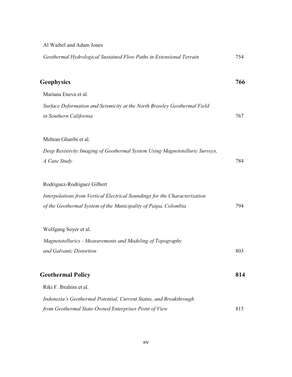| Al Waibel and Adam Jones                                                                           |     |
|----------------------------------------------------------------------------------------------------|-----|
| Geothermal Hydrological Sustained Flow Paths in Extensional Terrain                                | 754 |
| <b>Geophysics</b>                                                                                  | 766 |
| Mariana Eneva et al.                                                                               |     |
| Surface Deformation and Seismicity at the North Brawley Geothermal Field<br>in Southern California | 767 |
| Mehran Gharibi et al.                                                                              |     |
| Deep Resistivity Imaging of Geothermal System Using Magnetotelluric Surveys,<br>A Case Study       | 784 |
| Rodriguez-Rodriguez Gilbert                                                                        |     |
| Interpolations from Vertical Electrical Soundings for the Characterization                         |     |
| of the Geothermal System of the Municipality of Paipa, Colombia                                    | 794 |
| Wolfgang Soyer et al.                                                                              |     |
| Magnetotellurics - Measurements and Modeling of Topography                                         |     |
| and Galvanic Distortion                                                                            | 803 |
| <b>Geothermal Policy</b>                                                                           | 814 |
| Riki F. Ibrahim et al.                                                                             |     |
| Indonesia's Geothermal Potential, Current Status, and Breakthrough                                 |     |
| from Geothermal State-Owned Enterprises Point of View                                              | 815 |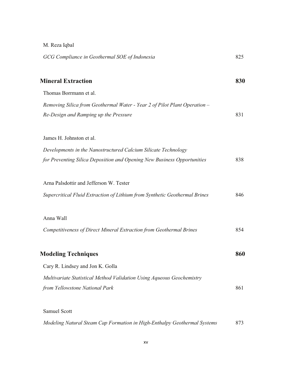| M. Reza Iqbal                                                              |     |
|----------------------------------------------------------------------------|-----|
| GCG Compliance in Geothermal SOE of Indonesia                              | 825 |
| <b>Mineral Extraction</b>                                                  | 830 |
| Thomas Borrmann et al.                                                     |     |
| Removing Silica from Geothermal Water - Year 2 of Pilot Plant Operation -  |     |
| Re-Design and Ramping up the Pressure                                      | 831 |
| James H. Johnston et al.                                                   |     |
| Developments in the Nanostructured Calcium Silicate Technology             |     |
| for Preventing Silica Deposition and Opening New Business Opportunities    | 838 |
| Arna Palsdottir and Jefferson W. Tester                                    |     |
| Supercritical Fluid Extraction of Lithium from Synthetic Geothermal Brines | 846 |
| Anna Wall                                                                  |     |
| Competitiveness of Direct Mineral Extraction from Geothermal Brines        | 854 |
| <b>Modeling Techniques</b>                                                 | 860 |
| Cary R. Lindsey and Jon K. Golla                                           |     |
| Multivariate Statistical Method Validation Using Aqueous Geochemistry      |     |
| from Yellowstone National Park                                             | 861 |
| <b>Samuel Scott</b>                                                        |     |

*Modeling Natural Steam Cap Formation in High-Enthalpy Geothermal Systems* 873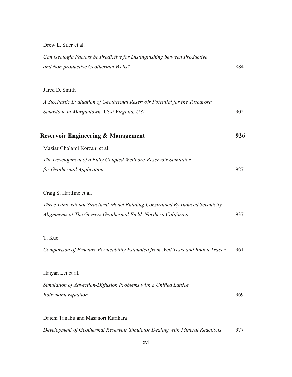Drew L. Siler et al.

| Can Geologic Factors be Predictive for Distinguishing between Productive<br>and Non-productive Geothermal Wells? | 884 |
|------------------------------------------------------------------------------------------------------------------|-----|
|                                                                                                                  |     |
| Jared D. Smith                                                                                                   |     |
| A Stochastic Evaluation of Geothermal Reservoir Potential for the Tuscarora                                      |     |
| Sandstone in Morgantown, West Virginia, USA                                                                      | 902 |
| <b>Reservoir Engineering &amp; Management</b>                                                                    | 926 |
| Maziar Gholami Korzani et al.                                                                                    |     |
| The Development of a Fully Coupled Wellbore-Reservoir Simulator                                                  |     |
| for Geothermal Application                                                                                       | 927 |
|                                                                                                                  |     |
| Craig S. Hartline et al.                                                                                         |     |
| Three-Dimensional Structural Model Building Constrained By Induced Seismicity                                    |     |
| Alignments at The Geysers Geothermal Field, Northern California                                                  | 937 |
|                                                                                                                  |     |
| T. Kuo                                                                                                           |     |
| Comparison of Fracture Permeability Estimated from Well Tests and Radon Tracer                                   | 961 |
| Haiyan Lei et al.                                                                                                |     |
|                                                                                                                  |     |
| Simulation of Advection-Diffusion Problems with a Unified Lattice                                                | 969 |
| <b>Boltzmann Equation</b>                                                                                        |     |
| Daichi Tanabu and Masanori Kurihara                                                                              |     |
| Development of Geothermal Reservoir Simulator Dealing with Mineral Reactions                                     | 977 |
|                                                                                                                  |     |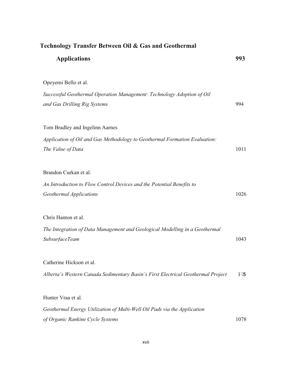| Technology Transfer Between Oil & Gas and Geothermal                                                    |          |  |
|---------------------------------------------------------------------------------------------------------|----------|--|
| <b>Applications</b>                                                                                     | 993      |  |
| Opeyemi Bello et al.                                                                                    |          |  |
| Successful Geothermal Operation Management: Technology Adoption of Oil<br>and Gas Drilling Rig Systems  | 994      |  |
| Tom Bradley and Ingelinn Aarnes                                                                         |          |  |
| Application of Oil and Gas Methodology to Geothermal Formation Evaluation:<br>The Value of Data         | 1011     |  |
| Brandon Curkan et al.                                                                                   |          |  |
| An Introduction to Flow Control Devices and the Potential Benefits to<br><b>Geothermal Applications</b> | 1026     |  |
| Chris Hanton et al.                                                                                     |          |  |
| The Integration of Data Management and Geological Modelling in a Geothermal<br><b>SubsurfaceTeam</b>    | 1043     |  |
| Catherine Hickson et al.                                                                                |          |  |
| Alberta's Western Canada Sedimentary Basin's First Electrical Geothermal Project                        | $P_{IC}$ |  |
| Hunter Vraa et al.                                                                                      |          |  |
| Geothermal Energy Utilization of Multi-Well Oil Pads via the Application                                |          |  |
| of Organic Rankine Cycle Systems                                                                        | 1078     |  |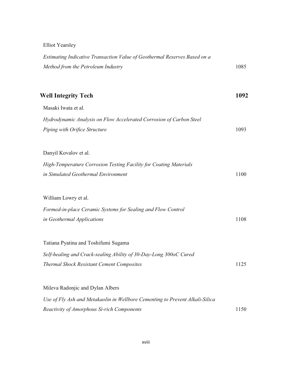Elliot Yearsley

| Estimating Indicative Transaction Value of Geothermal Reserves Based on a    |      |
|------------------------------------------------------------------------------|------|
| Method from the Petroleum Industry                                           | 1085 |
| <b>Well Integrity Tech</b>                                                   | 1092 |
| Masaki Iwata et al.                                                          |      |
| Hydrodynamic Analysis on Flow Accelerated Corrosion of Carbon Steel          |      |
| Piping with Orifice Structure                                                | 1093 |
|                                                                              |      |
| Danyil Kovalov et al.                                                        |      |
| High-Temperature Corrosion Testing Facility for Coating Materials            |      |
| in Simulated Geothermal Environment                                          | 1100 |
| William Lowry et al.                                                         |      |
| Formed-in-place Ceramic Systems for Sealing and Flow Control                 |      |
| in Geothermal Applications                                                   | 1108 |
|                                                                              |      |
| Tatiana Pyatina and Toshifumi Sugama                                         |      |
| Self-healing and Crack-sealing Ability of 30-Day-Long 300oC Cured            |      |
| Thermal Shock Resistant Cement Composites                                    | 1125 |
|                                                                              |      |
| Mileva Radonjic and Dylan Albers                                             |      |
| Use of Fly Ash and Metakaolin in Wellbore Cementing to Prevent Alkali-Silica |      |
| Reactivity of Amorphous Si-rich Components                                   | 1150 |